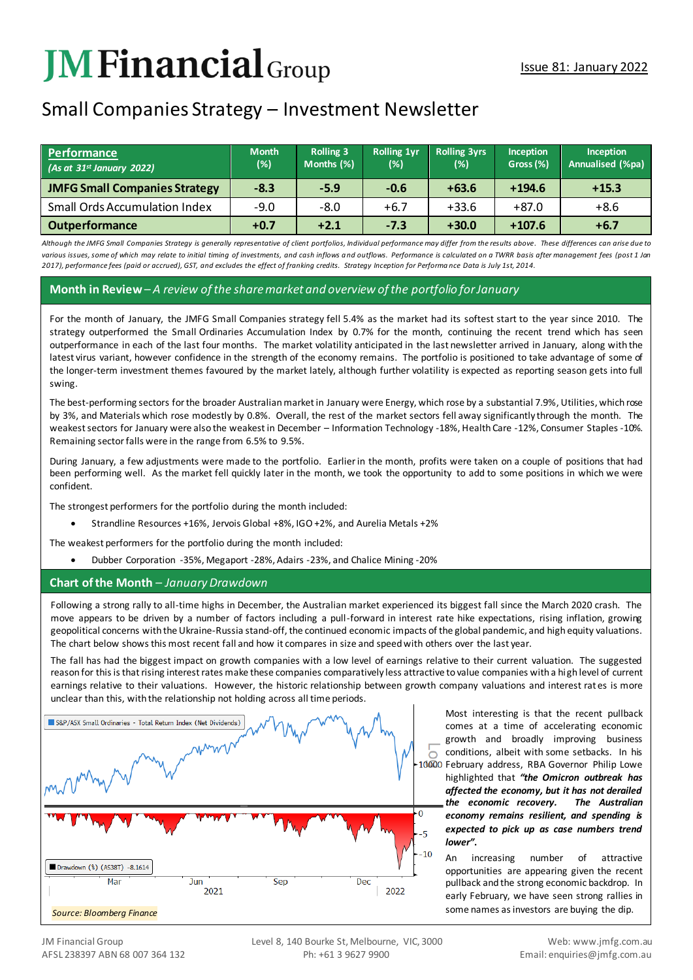# **JM Financial** Group

## Small Companies Strategy – Investment Newsletter

| Performance<br>$(As$ at 31st January 2022) | <b>Month</b><br>(%) | <b>Rolling 3</b><br>Months (%) | <b>Rolling 1yr</b><br>$(\%)$ | <b>Rolling 3yrs</b><br>(%) | Inception<br>Gross (%) | <b>Inception</b><br>Annualised (%pa) |
|--------------------------------------------|---------------------|--------------------------------|------------------------------|----------------------------|------------------------|--------------------------------------|
| <b>JMFG Small Companies Strategy</b>       | $-8.3$              | $-5.9$                         | $-0.6$                       | $+63.6$                    | $+194.6$               | $+15.3$                              |
| <b>Small Ords Accumulation Index</b>       | $-9.0$              | -8.0                           | $+6.7$                       | $+33.6$                    | $+87.0$                | $+8.6$                               |
| <b>Outperformance</b>                      | $+0.7$              | $+2.1$                         | $-7.3$                       | $+30.0$                    | $+107.6$               | $+6.7$                               |

*Although the JMFG Small Companies Strategy is generally representative of client portfolios, Individual performance may differ from the results above. These differences can arise due to*  various issues, some of which may relate to initial timing of investments, and cash inflows and outflows. Performance is calculated on a TWRR basis after management fees (post 1 Jan *2017), performance fees (paid or accrued), GST, and excludes the effect of franking credits. Strategy Inception for Performa nce Data is July 1st, 2014.*

#### **Month in Review***– A review of the share market and overview of the portfolio for January*

For the month of January, the JMFG Small Companies strategy fell 5.4% as the market had its softest start to the year since 2010. The strategy outperformed the Small Ordinaries Accumulation Index by 0.7% for the month, continuing the recent trend which has seen outperformance in each of the last four months. The market volatility anticipated in the last newsletter arrived in January, along with the latest virus variant, however confidence in the strength of the economy remains. The portfolio is positioned to take advantage of some of the longer-term investment themes favoured by the market lately, although further volatility is expected as reporting season gets into full swing.

The best-performing sectors for the broader Australian market in January were Energy, which rose by a substantial 7.9%, Utilities, which rose by 3%, and Materials which rose modestly by 0.8%. Overall, the rest of the market sectors fell away significantly through the month. The weakest sectors for January were also the weakest in December – Information Technology -18%, Health Care -12%, Consumer Staples -10%. Remaining sector falls were in the range from 6.5% to 9.5%.

During January, a few adjustments were made to the portfolio. Earlier in the month, profits were taken on a couple of positions that had been performing well. As the market fell quickly later in the month, we took the opportunity to add to some positions in which we were confident.

The strongest performers for the portfolio during the month included:

• Strandline Resources +16%, Jervois Global +8%, IGO +2%, and Aurelia Metals +2%

The weakest performers for the portfolio during the month included:

• Dubber Corporation -35%, Megaport -28%, Adairs -23%, and Chalice Mining -20%

### **Chart of the Month** *– January Drawdown*

Following a strong rally to all-time highs in December, the Australian market experienced its biggest fall since the March 2020 crash. The move appears to be driven by a number of factors including a pull-forward in interest rate hike expectations, rising inflation, growing geopolitical concerns with the Ukraine-Russia stand-off, the continued economic impacts of the global pandemic, and high equity valuations. The chart below shows this most recent fall and how it compares in size and speed with others over the last year.

The fall has had the biggest impact on growth companies with a low level of earnings relative to their current valuation. The suggested reason for this is that rising interest rates make these companies comparatively less attractive to value companies with a high level of current earnings relative to their valuations. However, the historic relationship between growth company valuations and interest rates is more unclear than this, with the relationship not holding across all time periods.



Most interesting is that the recent pullback comes at a time of accelerating economic growth and broadly improving business conditions, albeit with some setbacks. In his 10000 February address, RBA Governor Philip Lowe highlighted that *"the Omicron outbreak has affected the economy, but it has not derailed the economic recovery. The Australian economy remains resilient, and spending is expected to pick up as case numbers trend lower"***.** 

> An increasing number of attractive opportunities are appearing given the recent pullback and the strong economic backdrop. In early February, we have seen strong rallies in